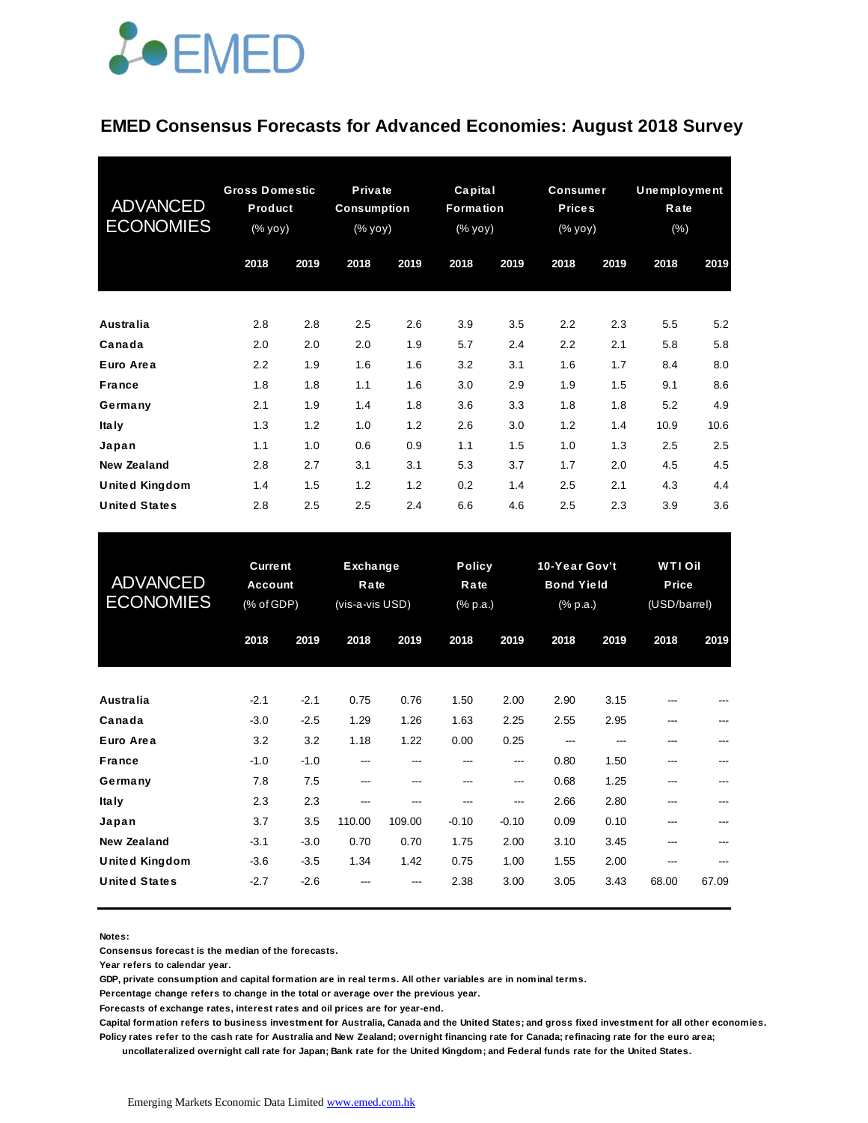

#### **EMED Consensus Forecasts for Advanced Economies: August 2018 Survey**

| <b>ADVANCED</b><br><b>ECONOMIES</b> | <b>Gross Domestic</b><br>Product<br>(% yoy) |      | <b>Private</b><br><b>Consumption</b><br>$(% \mathsf{y}\mathsf{y}\mathsf{y})$ |      | Capital<br>Formation<br>(% yoy) |      | <b>Consumer</b><br><b>Prices</b><br>(% yoy) |      | <b>Unemployment</b><br>Rate<br>$(\% )$ |      |
|-------------------------------------|---------------------------------------------|------|------------------------------------------------------------------------------|------|---------------------------------|------|---------------------------------------------|------|----------------------------------------|------|
|                                     | 2018                                        | 2019 | 2018                                                                         | 2019 | 2018                            | 2019 | 2018                                        | 2019 | 2018                                   | 2019 |
| <b>Australia</b>                    | 2.8                                         | 2.8  | 2.5                                                                          | 2.6  | 3.9                             | 3.5  | 2.2                                         | 2.3  | 5.5                                    | 5.2  |
| Canada                              | 2.0                                         | 2.0  | 2.0                                                                          | 1.9  | 5.7                             | 2.4  | 2.2                                         | 2.1  | 5.8                                    | 5.8  |
| Euro Area                           | 2.2                                         | 1.9  | 1.6                                                                          | 1.6  | 3.2                             | 3.1  | 1.6                                         | 1.7  | 8.4                                    | 8.0  |
| <b>France</b>                       | 1.8                                         | 1.8  | 1.1                                                                          | 1.6  | 3.0                             | 2.9  | 1.9                                         | 1.5  | 9.1                                    | 8.6  |
| Germany                             | 2.1                                         | 1.9  | 1.4                                                                          | 1.8  | 3.6                             | 3.3  | 1.8                                         | 1.8  | 5.2                                    | 4.9  |
| <b>Italy</b>                        | 1.3                                         | 1.2  | 1.0                                                                          | 1.2  | 2.6                             | 3.0  | 1.2                                         | 1.4  | 10.9                                   | 10.6 |
| Japan                               | 1.1                                         | 1.0  | 0.6                                                                          | 0.9  | 1.1                             | 1.5  | 1.0                                         | 1.3  | 2.5                                    | 2.5  |
| <b>New Zealand</b>                  | 2.8                                         | 2.7  | 3.1                                                                          | 3.1  | 5.3                             | 3.7  | 1.7                                         | 2.0  | 4.5                                    | 4.5  |
| <b>United Kingdom</b>               | 1.4                                         | 1.5  | 1.2                                                                          | 1.2  | 0.2                             | 1.4  | 2.5                                         | 2.1  | 4.3                                    | 4.4  |
| <b>United States</b>                | 2.8                                         | 2.5  | 2.5                                                                          | 2.4  | 6.6                             | 4.6  | 2.5                                         | 2.3  | 3.9                                    | 3.6  |

| <b>United States</b>                        | 2.8                                            | 2.5              | 2.5                                        | 2.4           | 6.6            | 4.6                               | 2.5          | 2.3                                            | 3.9   | 3.6                                    |  |
|---------------------------------------------|------------------------------------------------|------------------|--------------------------------------------|---------------|----------------|-----------------------------------|--------------|------------------------------------------------|-------|----------------------------------------|--|
| <b>ADVANCED</b><br><b>ECONOMIES</b>         | <b>Current</b><br><b>Account</b><br>(% of GDP) |                  | <b>Exchange</b><br>Rate<br>(vis-a-vis USD) |               |                | <b>Policy</b><br>Rate<br>(% p.a.) |              | 10-Year Gov't<br><b>Bond Yield</b><br>(% p.a.) |       | <b>WTIOII</b><br>Price<br>(USD/barrel) |  |
|                                             | 2018                                           | 2019             | 2018                                       | 2019          | 2018           | 2019                              | 2018         | 2019                                           | 2018  | 2019                                   |  |
| Australia                                   | $-2.1$                                         | $-2.1$           | 0.75                                       | 0.76          | 1.50           | 2.00                              | 2.90         | 3.15                                           |       |                                        |  |
| Canada<br>Euro Area                         | $-3.0$<br>3.2                                  | $-2.5$<br>3.2    | 1.29<br>1.18                               | 1.26<br>1.22  | 1.63<br>0.00   | 2.25<br>0.25                      | 2.55<br>---  | 2.95<br>---                                    |       |                                        |  |
| <b>France</b><br>Germany                    | $-1.0$<br>7.8                                  | $-1.0$<br>7.5    | ---<br>---                                 | ---<br>---    | ---<br>---     | ---<br>---                        | 0.80<br>0.68 | 1.50<br>1.25                                   | ---   |                                        |  |
| <b>Italy</b><br>Japan                       | 2.3<br>3.7                                     | 2.3<br>3.5       | ---<br>110.00                              | ---<br>109.00 | ---<br>$-0.10$ | ---<br>$-0.10$                    | 2.66<br>0.09 | 2.80<br>0.10                                   |       |                                        |  |
| <b>New Zealand</b><br><b>United Kingdom</b> | $-3.1$<br>$-3.6$                               | $-3.0$<br>$-3.5$ | 0.70<br>1.34                               | 0.70<br>1.42  | 1.75<br>0.75   | 2.00<br>1.00                      | 3.10<br>1.55 | 3.45<br>2.00                                   | ---   |                                        |  |
| <b>United States</b>                        | $-2.7$                                         | $-2.6$           |                                            |               | 2.38           | 3.00                              | 3.05         | 3.43                                           | 68.00 | 67.09                                  |  |

**Notes:** 

**Consensus forecast is the median of the forecasts.**

**Year refers to calendar year.**

**GDP, private consumption and capital formation are in real terms. All other variables are in nominal terms.**

**Percentage change refers to change in the total or average over the previous year.**

**Forecasts of exchange rates, interest rates and oil prices are for year-end.**

**Capital formation refers to business investment for Australia, Canada and the United States; and gross fixed investment for all other economies. Policy rates refer to the cash rate for Australia and New Zealand; overnight financing rate for Canada; refinacing rate for the euro area;** 

 **uncollateralized overnight call rate for Japan; Bank rate for the United Kingdom; and Federal funds rate for the United States.**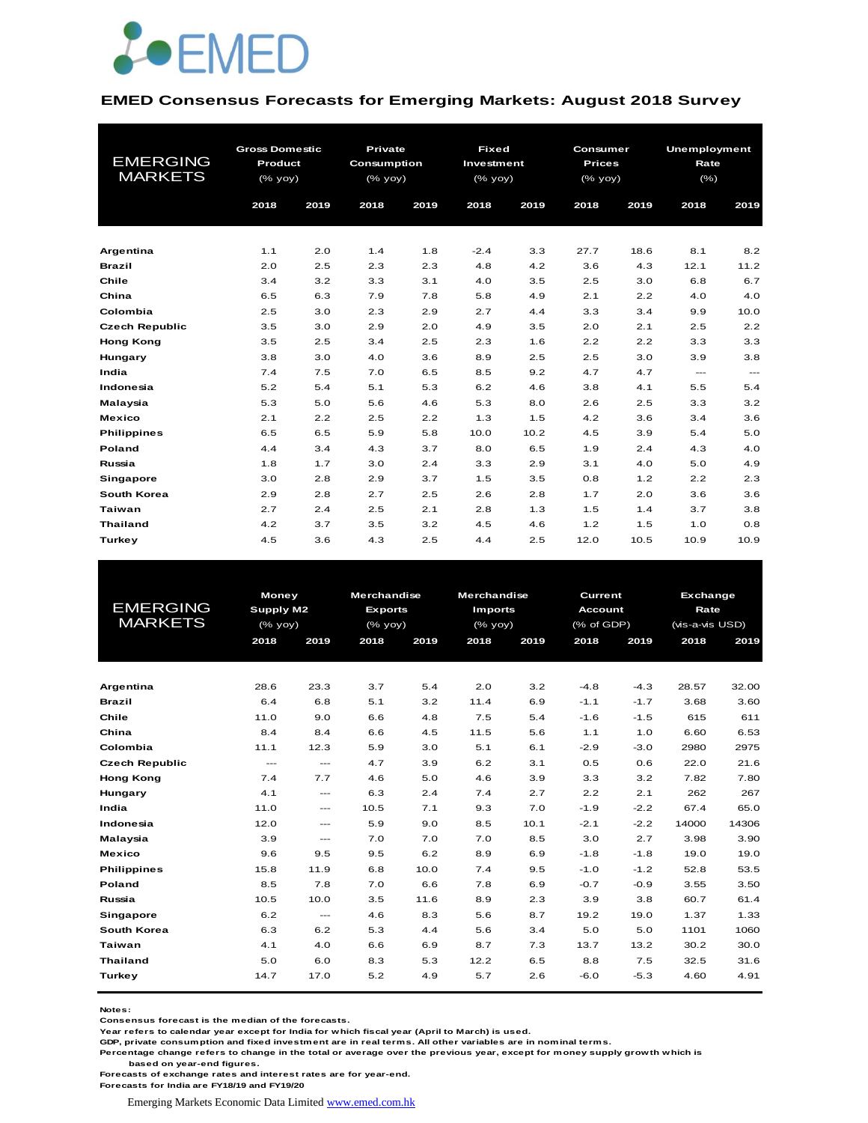

#### **EMED Consensus Forecasts for Emerging Markets: August 2018 Survey**

| <b>EMERGING</b><br><b>MARKETS</b> | <b>Gross Domestic</b><br>Product<br>$(\%$ yoy)<br>2018<br>2019 |     | <b>Private</b><br><b>Consumption</b><br>(% yoy)<br>2018 | 2019 | <b>Fixed</b><br>Investment<br>(% yoy)<br>2018 | 2019 | Consumer<br><b>Prices</b><br>(% yoy)<br>2018 | 2019 | <b>Unemployment</b><br>Rate<br>$(\% )$<br>2018 | 2019              |
|-----------------------------------|----------------------------------------------------------------|-----|---------------------------------------------------------|------|-----------------------------------------------|------|----------------------------------------------|------|------------------------------------------------|-------------------|
|                                   |                                                                |     |                                                         |      |                                               |      |                                              |      |                                                |                   |
| Argentina                         | 1.1                                                            | 2.0 | 1.4                                                     | 1.8  | $-2.4$                                        | 3.3  | 27.7                                         | 18.6 | 8.1                                            | 8.2               |
| <b>Brazil</b>                     | 2.0                                                            | 2.5 | 2.3                                                     | 2.3  | 4.8                                           | 4.2  | 3.6                                          | 4.3  | 12.1                                           | 11.2              |
| Chile                             | 3.4                                                            | 3.2 | 3.3                                                     | 3.1  | 4.0                                           | 3.5  | 2.5                                          | 3.0  | 6.8                                            | 6.7               |
| China                             | 6.5                                                            | 6.3 | 7.9                                                     | 7.8  | 5.8                                           | 4.9  | 2.1                                          | 2.2  | 4.0                                            | 4.0               |
| Colombia                          | 2.5                                                            | 3.0 | 2.3                                                     | 2.9  | 2.7                                           | 4.4  | 3.3                                          | 3.4  | 9.9                                            | 10.0              |
| <b>Czech Republic</b>             | 3.5                                                            | 3.0 | 2.9                                                     | 2.0  | 4.9                                           | 3.5  | 2.0                                          | 2.1  | 2.5                                            | 2.2               |
| <b>Hong Kong</b>                  | 3.5                                                            | 2.5 | 3.4                                                     | 2.5  | 2.3                                           | 1.6  | 2.2                                          | 2.2  | 3.3                                            | 3.3               |
| Hungary                           | 3.8                                                            | 3.0 | 4.0                                                     | 3.6  | 8.9                                           | 2.5  | 2.5                                          | 3.0  | 3.9                                            | 3.8               |
| India                             | 7.4                                                            | 7.5 | 7.0                                                     | 6.5  | 8.5                                           | 9.2  | 4.7                                          | 4.7  | $\cdots$                                       | $\qquad \qquad -$ |
| Indonesia                         | 5.2                                                            | 5.4 | 5.1                                                     | 5.3  | 6.2                                           | 4.6  | 3.8                                          | 4.1  | 5.5                                            | 5.4               |
| Malaysia                          | 5.3                                                            | 5.0 | 5.6                                                     | 4.6  | 5.3                                           | 8.0  | 2.6                                          | 2.5  | 3.3                                            | 3.2               |
| <b>Mexico</b>                     | 2.1                                                            | 2.2 | 2.5                                                     | 2.2  | 1.3                                           | 1.5  | 4.2                                          | 3.6  | 3.4                                            | 3.6               |
| <b>Philippines</b>                | 6.5                                                            | 6.5 | 5.9                                                     | 5.8  | 10.0                                          | 10.2 | 4.5                                          | 3.9  | 5.4                                            | 5.0               |
| Poland                            | 4.4                                                            | 3.4 | 4.3                                                     | 3.7  | 8.0                                           | 6.5  | 1.9                                          | 2.4  | 4.3                                            | 4.0               |
| Russia                            | 1.8                                                            | 1.7 | 3.0                                                     | 2.4  | 3.3                                           | 2.9  | 3.1                                          | 4.0  | 5.0                                            | 4.9               |
| Singapore                         | 3.0                                                            | 2.8 | 2.9                                                     | 3.7  | 1.5                                           | 3.5  | 0.8                                          | 1.2  | 2.2                                            | 2.3               |
| South Korea                       | 2.9                                                            | 2.8 | 2.7                                                     | 2.5  | 2.6                                           | 2.8  | 1.7                                          | 2.0  | 3.6                                            | 3.6               |
| <b>Taiwan</b>                     | 2.7                                                            | 2.4 | 2.5                                                     | 2.1  | 2.8                                           | 1.3  | 1.5                                          | 1.4  | 3.7                                            | 3.8               |
| <b>Thailand</b>                   | 4.2                                                            | 3.7 | 3.5                                                     | 3.2  | 4.5                                           | 4.6  | 1.2                                          | 1.5  | 1.0                                            | 0.8               |
| <b>Turkey</b>                     | 4.5                                                            | 3.6 | 4.3                                                     | 2.5  | 4.4                                           | 2.5  | 12.0                                         | 10.5 | 10.9                                           | 10.9              |

|                       | <b>Money</b>         |                      | <b>Merchandise</b> |      |                | <b>Merchandise</b><br>Current |                |        | <b>Exchange</b> |       |  |
|-----------------------|----------------------|----------------------|--------------------|------|----------------|-------------------------------|----------------|--------|-----------------|-------|--|
| <b>EMERGING</b>       | Supply M2            |                      | <b>Exports</b>     |      | <b>Imports</b> |                               | <b>Account</b> |        | Rate            |       |  |
| <b>MARKETS</b>        | (% yoy)              |                      | $(%$ (% yoy)       |      | $(\%$ yoy)     |                               | (% of GDP)     |        | (vis-a-vis USD) |       |  |
|                       | 2018                 | 2019                 | 2018               | 2019 | 2018           | 2019                          | 2018           | 2019   | 2018            | 2019  |  |
|                       |                      |                      |                    |      |                |                               |                |        |                 |       |  |
|                       |                      |                      |                    |      |                |                               |                |        |                 |       |  |
| Argentina             | 28.6                 | 23.3                 | 3.7                | 5.4  | 2.0            | 3.2                           | $-4.8$         | $-4.3$ | 28.57           | 32.00 |  |
| <b>Brazil</b>         | 6.4                  | 6.8                  | 5.1                | 3.2  | 11.4           | 6.9                           | $-1.1$         | $-1.7$ | 3.68            | 3.60  |  |
| Chile                 | 11.0                 | 9.0                  | 6.6                | 4.8  | 7.5            | 5.4                           | $-1.6$         | $-1.5$ | 615             | 611   |  |
| China                 | 8.4                  | 8.4                  | 6.6                | 4.5  | 11.5           | 5.6                           | 1.1            | 1.0    | 6.60            | 6.53  |  |
| Colombia              | 11.1                 | 12.3                 | 5.9                | 3.0  | 5.1            | 6.1                           | $-2.9$         | $-3.0$ | 2980            | 2975  |  |
| <b>Czech Republic</b> | $\sim$ $\sim$ $\sim$ | $\sim$ $\sim$ $\sim$ | 4.7                | 3.9  | 6.2            | 3.1                           | 0.5            | 0.6    | 22.0            | 21.6  |  |
| <b>Hong Kong</b>      | 7.4                  | 7.7                  | 4.6                | 5.0  | 4.6            | 3.9                           | 3.3            | 3.2    | 7.82            | 7.80  |  |
| Hungary               | 4.1                  | $---$                | 6.3                | 2.4  | 7.4            | 2.7                           | 2.2            | 2.1    | 262             | 267   |  |
| India                 | 11.0                 | $\cdots$             | 10.5               | 7.1  | 9.3            | 7.0                           | $-1.9$         | $-2.2$ | 67.4            | 65.0  |  |
| Indonesia             | 12.0                 | $\cdots$             | 5.9                | 9.0  | 8.5            | 10.1                          | $-2.1$         | $-2.2$ | 14000           | 14306 |  |
| Malaysia              | 3.9                  | $\cdots$             | 7.0                | 7.0  | 7.0            | 8.5                           | 3.0            | 2.7    | 3.98            | 3.90  |  |
| <b>Mexico</b>         | 9.6                  | 9.5                  | 9.5                | 6.2  | 8.9            | 6.9                           | $-1.8$         | $-1.8$ | 19.0            | 19.0  |  |
| <b>Philippines</b>    | 15.8                 | 11.9                 | 6.8                | 10.0 | 7.4            | 9.5                           | $-1.0$         | $-1.2$ | 52.8            | 53.5  |  |
| <b>Poland</b>         | 8.5                  | 7.8                  | 7.0                | 6.6  | 7.8            | 6.9                           | $-0.7$         | $-0.9$ | 3.55            | 3.50  |  |
| Russia                | 10.5                 | 10.0                 | 3.5                | 11.6 | 8.9            | 2.3                           | 3.9            | 3.8    | 60.7            | 61.4  |  |
| Singapore             | 6.2                  | $\cdots$             | 4.6                | 8.3  | 5.6            | 8.7                           | 19.2           | 19.0   | 1.37            | 1.33  |  |
| South Korea           | 6.3                  | 6.2                  | 5.3                | 4.4  | 5.6            | 3.4                           | 5.0            | 5.0    | 1101            | 1060  |  |
| Taiwan                | 4.1                  | 4.0                  | 6.6                | 6.9  | 8.7            | 7.3                           | 13.7           | 13.2   | 30.2            | 30.0  |  |
| <b>Thailand</b>       | 5.0                  | 6.0                  | 8.3                | 5.3  | 12.2           | 6.5                           | 8.8            | 7.5    | 32.5            | 31.6  |  |
| Turkey                | 14.7                 | 17.0                 | 5.2                | 4.9  | 5.7            | 2.6                           | $-6.0$         | $-5.3$ | 4.60            | 4.91  |  |
|                       |                      |                      |                    |      |                |                               |                |        |                 |       |  |

**Notes:** 

**Consensus forecast is the median of the forecasts.**

**Year refers to calendar year except for India for which fiscal year (April to March) is used. GDP, private consumption and fixed investment are in real terms. All other variables are in nominal terms.**

**Percentage change refers to change in the total or average over the previous year, except for money supply growth which is based on year-end figures.**

**Forecasts of exchange rates and interest rates are for year-end.**

**Forecasts for India are FY18/19 and FY19/20**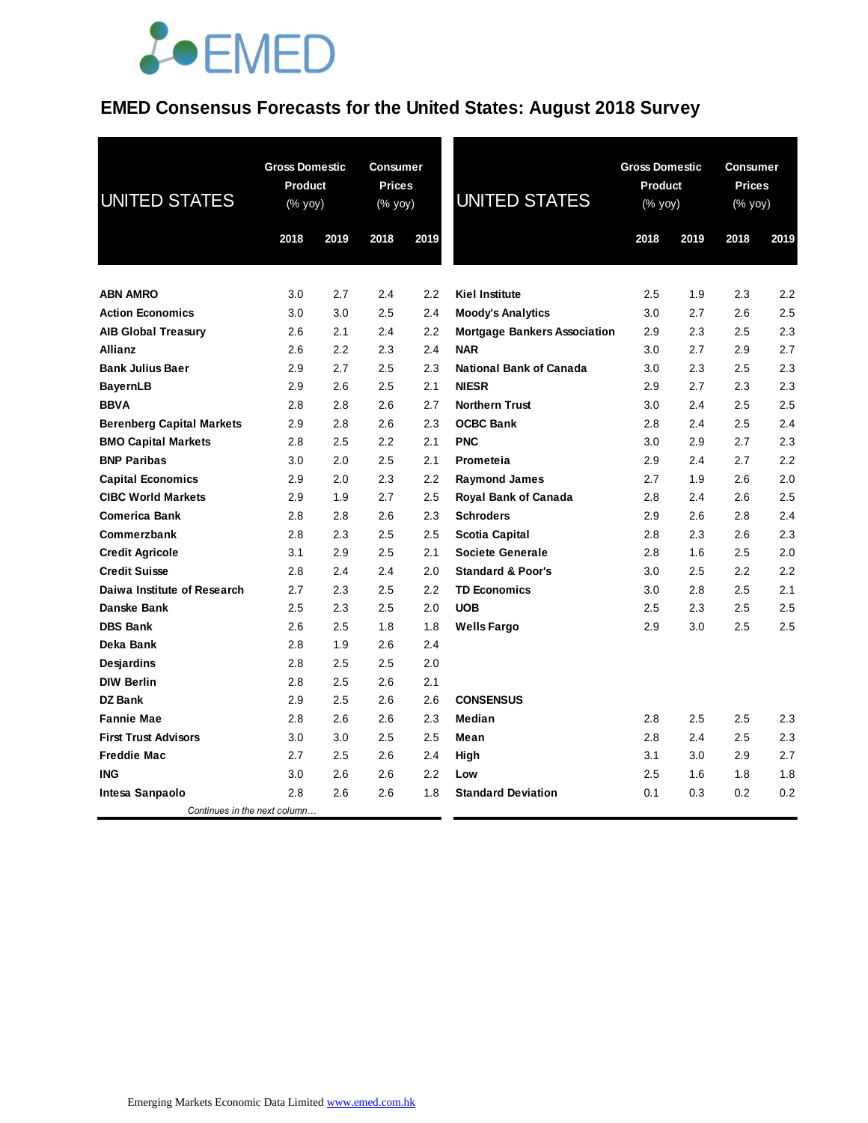## **JOEMED**

### **EMED Consensus Forecasts for the United States: August 2018 Survey**

| <b>UNITED STATES</b>             |      | <b>Gross Domestic</b><br>Product<br>(% yoy) |      | <b>Consumer</b><br><b>Prices</b><br>(% yoy) | <b>UNITED STATES</b>                | <b>Gross Domestic</b><br>Product<br>$(% \mathsf{Y}^{\prime }\mathsf{Y}^{\prime })$ (% $\mathsf{Y}^{\prime }\mathsf{Y}^{\prime }\mathsf{Y}^{\prime })$ |      | Consumer<br><b>Prices</b><br>(% yoy) |      |
|----------------------------------|------|---------------------------------------------|------|---------------------------------------------|-------------------------------------|-------------------------------------------------------------------------------------------------------------------------------------------------------|------|--------------------------------------|------|
|                                  | 2018 | 2019                                        | 2018 | 2019                                        |                                     | 2018                                                                                                                                                  | 2019 | 2018                                 | 2019 |
| <b>ABN AMRO</b>                  | 3.0  | 2.7                                         | 2.4  | 2.2                                         | <b>Kiel Institute</b>               | 2.5                                                                                                                                                   | 1.9  | 2.3                                  | 2.2  |
| <b>Action Economics</b>          | 3.0  | 3.0                                         | 2.5  | 2.4                                         | <b>Moody's Analytics</b>            | 3.0                                                                                                                                                   | 2.7  | 2.6                                  | 2.5  |
| <b>AIB Global Treasury</b>       | 2.6  | 2.1                                         | 2.4  | 2.2                                         | <b>Mortgage Bankers Association</b> | 2.9                                                                                                                                                   | 2.3  | 2.5                                  | 2.3  |
| <b>Allianz</b>                   | 2.6  | 2.2                                         | 2.3  | 2.4                                         | <b>NAR</b>                          | 3.0                                                                                                                                                   | 2.7  | 2.9                                  | 2.7  |
| <b>Bank Julius Baer</b>          | 2.9  | 2.7                                         | 2.5  | 2.3                                         | <b>National Bank of Canada</b>      | 3.0                                                                                                                                                   | 2.3  | 2.5                                  | 2.3  |
| <b>BayernLB</b>                  | 2.9  | 2.6                                         | 2.5  | 2.1                                         | <b>NIESR</b>                        | 2.9                                                                                                                                                   | 2.7  | 2.3                                  | 2.3  |
| <b>BBVA</b>                      | 2.8  | 2.8                                         | 2.6  | 2.7                                         | <b>Northern Trust</b>               | 3.0                                                                                                                                                   | 2.4  | 2.5                                  | 2.5  |
| <b>Berenberg Capital Markets</b> | 2.9  | 2.8                                         | 2.6  | 2.3                                         | <b>OCBC Bank</b>                    | 2.8                                                                                                                                                   | 2.4  | 2.5                                  | 2.4  |
| <b>BMO Capital Markets</b>       | 2.8  | 2.5                                         | 2.2  | 2.1                                         | <b>PNC</b>                          | 3.0                                                                                                                                                   | 2.9  | 2.7                                  | 2.3  |
| <b>BNP Paribas</b>               | 3.0  | 2.0                                         | 2.5  | 2.1                                         | Prometeia                           | 2.9                                                                                                                                                   | 2.4  | 2.7                                  | 2.2  |
| <b>Capital Economics</b>         | 2.9  | 2.0                                         | 2.3  | 2.2                                         | <b>Raymond James</b>                | 2.7                                                                                                                                                   | 1.9  | 2.6                                  | 2.0  |
| <b>CIBC World Markets</b>        | 2.9  | 1.9                                         | 2.7  | 2.5                                         | Royal Bank of Canada                | 2.8                                                                                                                                                   | 2.4  | 2.6                                  | 2.5  |
| <b>Comerica Bank</b>             | 2.8  | 2.8                                         | 2.6  | 2.3                                         | <b>Schroders</b>                    | 2.9                                                                                                                                                   | 2.6  | 2.8                                  | 2.4  |
| Commerzbank                      | 2.8  | 2.3                                         | 2.5  | 2.5                                         | Scotia Capital                      | 2.8                                                                                                                                                   | 2.3  | 2.6                                  | 2.3  |
| <b>Credit Agricole</b>           | 3.1  | 2.9                                         | 2.5  | 2.1                                         | <b>Societe Generale</b>             | 2.8                                                                                                                                                   | 1.6  | 2.5                                  | 2.0  |
| <b>Credit Suisse</b>             | 2.8  | 2.4                                         | 2.4  | 2.0                                         | <b>Standard &amp; Poor's</b>        | 3.0                                                                                                                                                   | 2.5  | 2.2                                  | 2.2  |
| Daiwa Institute of Research      | 2.7  | 2.3                                         | 2.5  | 2.2                                         | <b>TD Economics</b>                 | 3.0                                                                                                                                                   | 2.8  | 2.5                                  | 2.1  |
| Danske Bank                      | 2.5  | 2.3                                         | 2.5  | 2.0                                         | <b>UOB</b>                          | 2.5                                                                                                                                                   | 2.3  | 2.5                                  | 2.5  |
| <b>DBS Bank</b>                  | 2.6  | 2.5                                         | 1.8  | 1.8                                         | <b>Wells Fargo</b>                  | 2.9                                                                                                                                                   | 3.0  | 2.5                                  | 2.5  |
| Deka Bank                        | 2.8  | 1.9                                         | 2.6  | 2.4                                         |                                     |                                                                                                                                                       |      |                                      |      |
| <b>Desjardins</b>                | 2.8  | 2.5                                         | 2.5  | 2.0                                         |                                     |                                                                                                                                                       |      |                                      |      |
| <b>DIW Berlin</b>                | 2.8  | 2.5                                         | 2.6  | 2.1                                         |                                     |                                                                                                                                                       |      |                                      |      |
| <b>DZ Bank</b>                   | 2.9  | 2.5                                         | 2.6  | 2.6                                         | <b>CONSENSUS</b>                    |                                                                                                                                                       |      |                                      |      |
| <b>Fannie Mae</b>                | 2.8  | 2.6                                         | 2.6  | 2.3                                         | <b>Median</b>                       | 2.8                                                                                                                                                   | 2.5  | 2.5                                  | 2.3  |
| <b>First Trust Advisors</b>      | 3.0  | 3.0                                         | 2.5  | 2.5                                         | Mean                                | 2.8                                                                                                                                                   | 2.4  | 2.5                                  | 2.3  |
| <b>Freddie Mac</b>               | 2.7  | 2.5                                         | 2.6  | 2.4                                         | High                                | 3.1                                                                                                                                                   | 3.0  | 2.9                                  | 2.7  |
| <b>ING</b>                       | 3.0  | 2.6                                         | 2.6  | 2.2                                         | Low                                 | 2.5                                                                                                                                                   | 1.6  | 1.8                                  | 1.8  |
| Intesa Sanpaolo                  | 2.8  | 2.6                                         | 2.6  | 1.8                                         | <b>Standard Deviation</b>           | 0.1                                                                                                                                                   | 0.3  | 0.2                                  | 0.2  |
| Continues in the next column     |      |                                             |      |                                             |                                     |                                                                                                                                                       |      |                                      |      |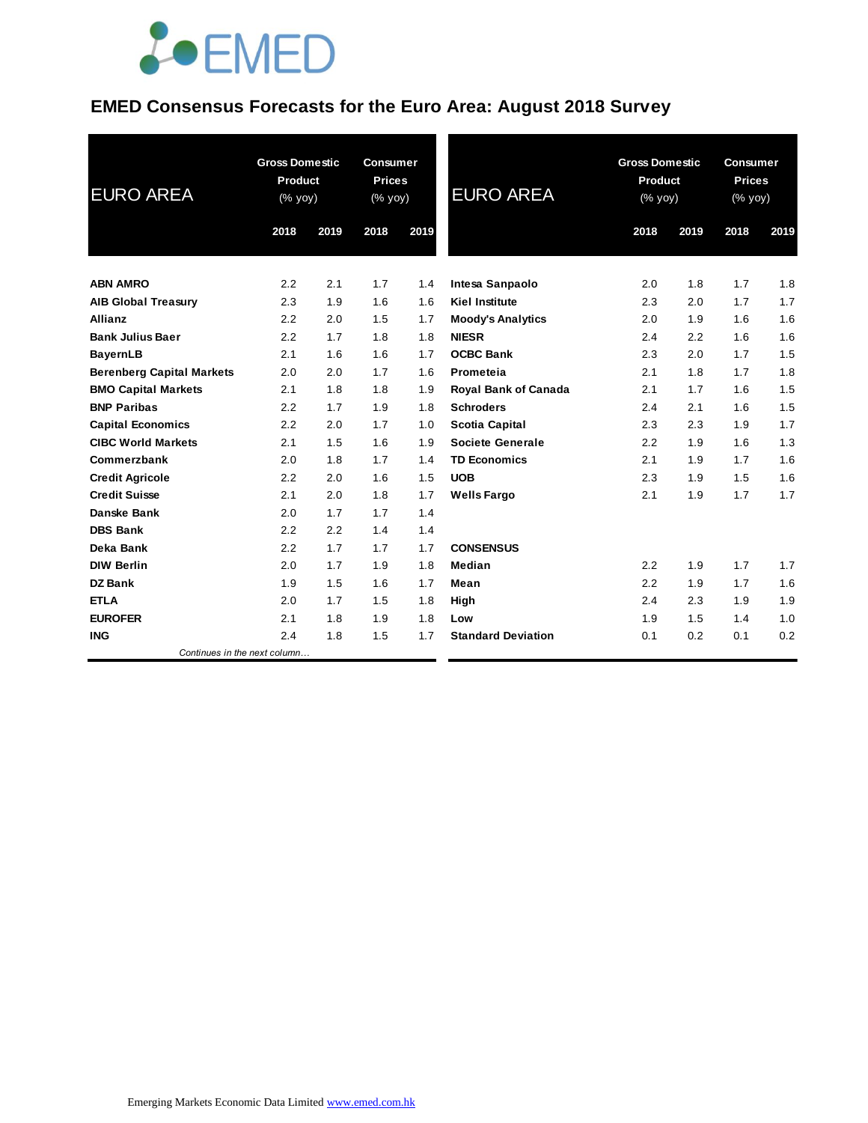

### **EMED Consensus Forecasts for the Euro Area: August 2018 Survey**

| <b>EURO AREA</b>                 | <b>Gross Domestic</b><br><b>Product</b><br>(% yoy) |      | <b>Consumer</b><br><b>Prices</b><br>$(%$ yoy $)$ |      | <b>EURO AREA</b>            | <b>Gross Domestic</b><br>Product<br>(% yoy) |      | <b>Consumer</b><br><b>Prices</b><br>(% yoy) |      |
|----------------------------------|----------------------------------------------------|------|--------------------------------------------------|------|-----------------------------|---------------------------------------------|------|---------------------------------------------|------|
|                                  | 2018                                               | 2019 | 2018                                             | 2019 |                             | 2018                                        | 2019 | 2018                                        | 2019 |
| <b>ABN AMRO</b>                  | 2.2                                                | 2.1  | 1.7                                              | 1.4  | Intesa Sanpaolo             | 2.0                                         | 1.8  | 1.7                                         | 1.8  |
| <b>AIB Global Treasury</b>       | 2.3                                                | 1.9  | 1.6                                              | 1.6  | <b>Kiel Institute</b>       | 2.3                                         | 2.0  | 1.7                                         | 1.7  |
| <b>Allianz</b>                   | 2.2                                                | 2.0  | 1.5                                              | 1.7  | <b>Moody's Analytics</b>    | 2.0                                         | 1.9  | 1.6                                         | 1.6  |
| <b>Bank Julius Baer</b>          | 2.2                                                | 1.7  | 1.8                                              | 1.8  | <b>NIESR</b>                | 2.4                                         | 2.2  | 1.6                                         | 1.6  |
| <b>BayernLB</b>                  | 2.1                                                | 1.6  | 1.6                                              | 1.7  | <b>OCBC Bank</b>            | 2.3                                         | 2.0  | 1.7                                         | 1.5  |
| <b>Berenberg Capital Markets</b> | 2.0                                                | 2.0  | 1.7                                              | 1.6  | Prometeia                   | 2.1                                         | 1.8  | 1.7                                         | 1.8  |
| <b>BMO Capital Markets</b>       | 2.1                                                | 1.8  | 1.8                                              | 1.9  | <b>Royal Bank of Canada</b> | 2.1                                         | 1.7  | 1.6                                         | 1.5  |
| <b>BNP Paribas</b>               | 2.2                                                | 1.7  | 1.9                                              | 1.8  | <b>Schroders</b>            | 2.4                                         | 2.1  | 1.6                                         | 1.5  |
| <b>Capital Economics</b>         | 2.2                                                | 2.0  | 1.7                                              | 1.0  | <b>Scotia Capital</b>       | 2.3                                         | 2.3  | 1.9                                         | 1.7  |
| <b>CIBC World Markets</b>        | 2.1                                                | 1.5  | 1.6                                              | 1.9  | Societe Generale            | 2.2                                         | 1.9  | 1.6                                         | 1.3  |
| Commerzbank                      | 2.0                                                | 1.8  | 1.7                                              | 1.4  | <b>TD Economics</b>         | 2.1                                         | 1.9  | 1.7                                         | 1.6  |
| <b>Credit Agricole</b>           | 2.2                                                | 2.0  | 1.6                                              | 1.5  | <b>UOB</b>                  | 2.3                                         | 1.9  | 1.5                                         | 1.6  |
| <b>Credit Suisse</b>             | 2.1                                                | 2.0  | 1.8                                              | 1.7  | <b>Wells Fargo</b>          | 2.1                                         | 1.9  | 1.7                                         | 1.7  |
| Danske Bank                      | 2.0                                                | 1.7  | 1.7                                              | 1.4  |                             |                                             |      |                                             |      |
| <b>DBS Bank</b>                  | 2.2                                                | 2.2  | 1.4                                              | 1.4  |                             |                                             |      |                                             |      |
| Deka Bank                        | 2.2                                                | 1.7  | 1.7                                              | 1.7  | <b>CONSENSUS</b>            |                                             |      |                                             |      |
| <b>DIW Berlin</b>                | 2.0                                                | 1.7  | 1.9                                              | 1.8  | Median                      | 2.2                                         | 1.9  | 1.7                                         | 1.7  |
| <b>DZ Bank</b>                   | 1.9                                                | 1.5  | 1.6                                              | 1.7  | Mean                        | 2.2                                         | 1.9  | 1.7                                         | 1.6  |
| <b>ETLA</b>                      | 2.0                                                | 1.7  | 1.5                                              | 1.8  | High                        | 2.4                                         | 2.3  | 1.9                                         | 1.9  |
| <b>EUROFER</b>                   | 2.1                                                | 1.8  | 1.9                                              | 1.8  | Low                         | 1.9                                         | 1.5  | 1.4                                         | 1.0  |
| <b>ING</b>                       | 2.4                                                | 1.8  | 1.5                                              | 1.7  | <b>Standard Deviation</b>   | 0.1                                         | 0.2  | 0.1                                         | 0.2  |
| Continues in the next column     |                                                    |      |                                                  |      |                             |                                             |      |                                             |      |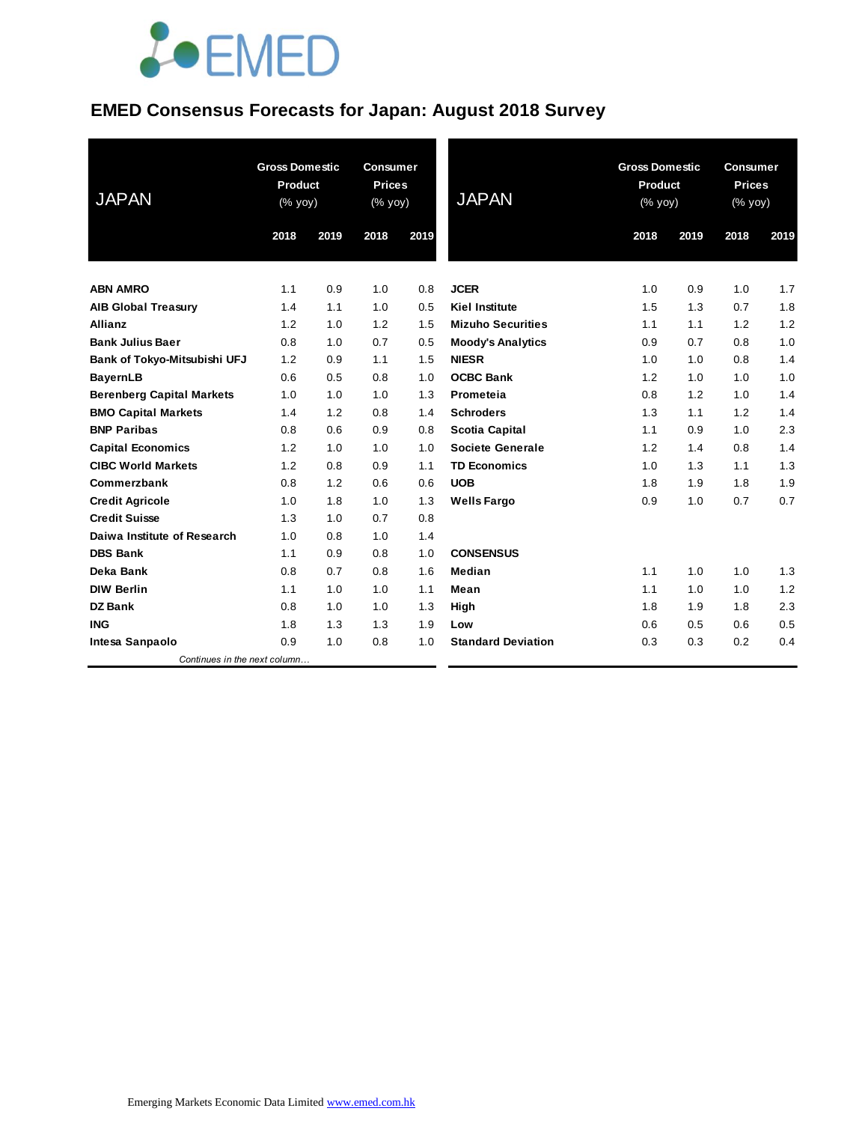# **JOEMED**

#### **EMED Consensus Forecasts for Japan: August 2018 Survey**

| <b>JAPAN</b>                     | <b>Gross Domestic</b><br><b>Product</b><br>(% yoy) |      | <b>Consumer</b><br><b>Prices</b><br>(% yoy) |      | <b>JAPAN</b>              | <b>Gross Domestic</b><br>Product<br>(% yoy) |      | <b>Consumer</b><br><b>Prices</b><br>(% yoy) |      |
|----------------------------------|----------------------------------------------------|------|---------------------------------------------|------|---------------------------|---------------------------------------------|------|---------------------------------------------|------|
|                                  | 2018                                               | 2019 | 2018                                        | 2019 |                           | 2018                                        | 2019 | 2018                                        | 2019 |
| <b>ABN AMRO</b>                  | 1.1                                                | 0.9  | 1.0                                         | 0.8  | <b>JCER</b>               | 1.0                                         | 0.9  | 1.0                                         | 1.7  |
| <b>AIB Global Treasury</b>       | 1.4                                                | 1.1  | 1.0                                         | 0.5  | <b>Kiel Institute</b>     | 1.5                                         | 1.3  | 0.7                                         | 1.8  |
| <b>Allianz</b>                   | 1.2                                                | 1.0  | 1.2                                         | 1.5  | <b>Mizuho Securities</b>  | 1.1                                         | 1.1  | 1.2                                         | 1.2  |
| <b>Bank Julius Baer</b>          | 0.8                                                | 1.0  | 0.7                                         | 0.5  | <b>Moody's Analytics</b>  | 0.9                                         | 0.7  | 0.8                                         | 1.0  |
| Bank of Tokyo-Mitsubishi UFJ     | 1.2                                                | 0.9  | 1.1                                         | 1.5  | <b>NIESR</b>              | 1.0                                         | 1.0  | 0.8                                         | 1.4  |
| <b>BayernLB</b>                  | 0.6                                                | 0.5  | 0.8                                         | 1.0  | <b>OCBC Bank</b>          | 1.2                                         | 1.0  | 1.0                                         | 1.0  |
| <b>Berenberg Capital Markets</b> | 1.0                                                | 1.0  | 1.0                                         | 1.3  | Prometeia                 | 0.8                                         | 1.2  | 1.0                                         | 1.4  |
| <b>BMO Capital Markets</b>       | 1.4                                                | 1.2  | 0.8                                         | 1.4  | <b>Schroders</b>          | 1.3                                         | 1.1  | 1.2                                         | 1.4  |
| <b>BNP Paribas</b>               | 0.8                                                | 0.6  | 0.9                                         | 0.8  | <b>Scotia Capital</b>     | 1.1                                         | 0.9  | 1.0                                         | 2.3  |
| <b>Capital Economics</b>         | 1.2                                                | 1.0  | 1.0                                         | 1.0  | <b>Societe Generale</b>   | 1.2                                         | 1.4  | 0.8                                         | 1.4  |
| <b>CIBC World Markets</b>        | 1.2                                                | 0.8  | 0.9                                         | 1.1  | <b>TD Economics</b>       | 1.0                                         | 1.3  | 1.1                                         | 1.3  |
| Commerzbank                      | 0.8                                                | 1.2  | 0.6                                         | 0.6  | <b>UOB</b>                | 1.8                                         | 1.9  | 1.8                                         | 1.9  |
| <b>Credit Agricole</b>           | 1.0                                                | 1.8  | 1.0                                         | 1.3  | <b>Wells Fargo</b>        | 0.9                                         | 1.0  | 0.7                                         | 0.7  |
| <b>Credit Suisse</b>             | 1.3                                                | 1.0  | 0.7                                         | 0.8  |                           |                                             |      |                                             |      |
| Daiwa Institute of Research      | 1.0                                                | 0.8  | 1.0                                         | 1.4  |                           |                                             |      |                                             |      |
| <b>DBS Bank</b>                  | 1.1                                                | 0.9  | 0.8                                         | 1.0  | <b>CONSENSUS</b>          |                                             |      |                                             |      |
| Deka Bank                        | 0.8                                                | 0.7  | 0.8                                         | 1.6  | <b>Median</b>             | 1.1                                         | 1.0  | 1.0                                         | 1.3  |
| <b>DIW Berlin</b>                | 1.1                                                | 1.0  | 1.0                                         | 1.1  | Mean                      | 1.1                                         | 1.0  | 1.0                                         | 1.2  |
| <b>DZ Bank</b>                   | 0.8                                                | 1.0  | 1.0                                         | 1.3  | High                      | 1.8                                         | 1.9  | 1.8                                         | 2.3  |
| <b>ING</b>                       | 1.8                                                | 1.3  | 1.3                                         | 1.9  | Low                       | 0.6                                         | 0.5  | 0.6                                         | 0.5  |
| Intesa Sanpaolo                  | 0.9                                                | 1.0  | 0.8                                         | 1.0  | <b>Standard Deviation</b> | 0.3                                         | 0.3  | 0.2                                         | 0.4  |
| Continues in the next column     |                                                    |      |                                             |      |                           |                                             |      |                                             |      |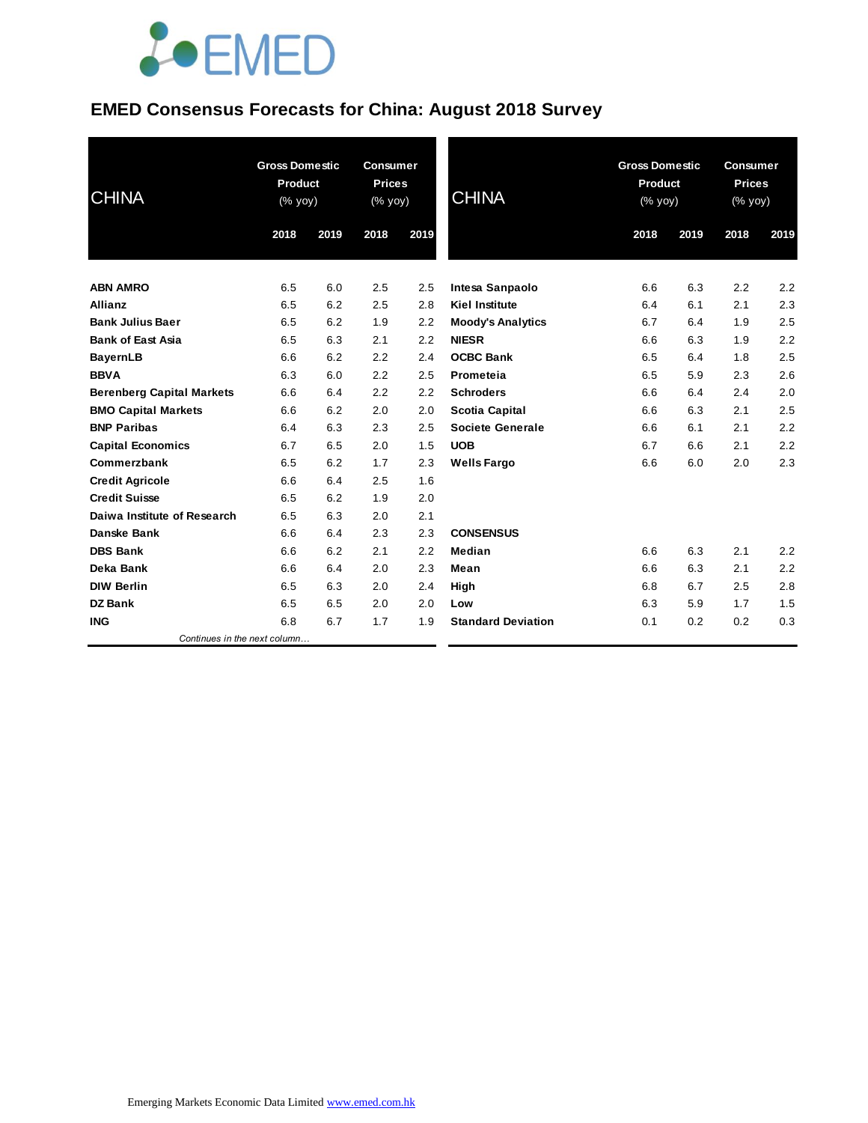# **JOEMED**

#### **EMED Consensus Forecasts for China: August 2018 Survey**

| <b>CHINA</b>                     | <b>Gross Domestic</b><br>Product<br>(% yoy) |      | <b>Consumer</b><br><b>Prices</b><br>(% yoy) |      | <b>CHINA</b>              | <b>Gross Domestic</b><br>Product<br>(% yoy) |      | <b>Consumer</b><br><b>Prices</b><br>(% yoy) |      |
|----------------------------------|---------------------------------------------|------|---------------------------------------------|------|---------------------------|---------------------------------------------|------|---------------------------------------------|------|
|                                  | 2018                                        | 2019 | 2018                                        | 2019 |                           | 2018                                        | 2019 | 2018                                        | 2019 |
| <b>ABN AMRO</b>                  | 6.5                                         | 6.0  | 2.5                                         | 2.5  | Intesa Sanpaolo           | 6.6                                         | 6.3  | 2.2                                         | 2.2  |
| <b>Allianz</b>                   | 6.5                                         | 6.2  | 2.5                                         | 2.8  | <b>Kiel Institute</b>     | 6.4                                         | 6.1  | 2.1                                         | 2.3  |
| <b>Bank Julius Baer</b>          | 6.5                                         | 6.2  | 1.9                                         | 2.2  | <b>Moody's Analytics</b>  | 6.7                                         | 6.4  | 1.9                                         | 2.5  |
| <b>Bank of East Asia</b>         | 6.5                                         | 6.3  | 2.1                                         | 2.2  | <b>NIESR</b>              | 6.6                                         | 6.3  | 1.9                                         | 2.2  |
| <b>BayernLB</b>                  | 6.6                                         | 6.2  | 2.2                                         | 2.4  | <b>OCBC Bank</b>          | 6.5                                         | 6.4  | 1.8                                         | 2.5  |
| <b>BBVA</b>                      | 6.3                                         | 6.0  | 2.2                                         | 2.5  | Prometeia                 | 6.5                                         | 5.9  | 2.3                                         | 2.6  |
| <b>Berenberg Capital Markets</b> | 6.6                                         | 6.4  | 2.2                                         | 2.2  | <b>Schroders</b>          | 6.6                                         | 6.4  | 2.4                                         | 2.0  |
| <b>BMO Capital Markets</b>       | 6.6                                         | 6.2  | 2.0                                         | 2.0  | <b>Scotia Capital</b>     | 6.6                                         | 6.3  | 2.1                                         | 2.5  |
| <b>BNP Paribas</b>               | 6.4                                         | 6.3  | 2.3                                         | 2.5  | <b>Societe Generale</b>   | 6.6                                         | 6.1  | 2.1                                         | 2.2  |
| <b>Capital Economics</b>         | 6.7                                         | 6.5  | 2.0                                         | 1.5  | <b>UOB</b>                | 6.7                                         | 6.6  | 2.1                                         | 2.2  |
| Commerzbank                      | 6.5                                         | 6.2  | 1.7                                         | 2.3  | <b>Wells Fargo</b>        | 6.6                                         | 6.0  | 2.0                                         | 2.3  |
| <b>Credit Agricole</b>           | 6.6                                         | 6.4  | 2.5                                         | 1.6  |                           |                                             |      |                                             |      |
| <b>Credit Suisse</b>             | 6.5                                         | 6.2  | 1.9                                         | 2.0  |                           |                                             |      |                                             |      |
| Daiwa Institute of Research      | 6.5                                         | 6.3  | 2.0                                         | 2.1  |                           |                                             |      |                                             |      |
| Danske Bank                      | 6.6                                         | 6.4  | 2.3                                         | 2.3  | <b>CONSENSUS</b>          |                                             |      |                                             |      |
| <b>DBS Bank</b>                  | 6.6                                         | 6.2  | 2.1                                         | 2.2  | Median                    | 6.6                                         | 6.3  | 2.1                                         | 2.2  |
| Deka Bank                        | 6.6                                         | 6.4  | 2.0                                         | 2.3  | Mean                      | 6.6                                         | 6.3  | 2.1                                         | 2.2  |
| <b>DIW Berlin</b>                | 6.5                                         | 6.3  | 2.0                                         | 2.4  | High                      | 6.8                                         | 6.7  | 2.5                                         | 2.8  |
| <b>DZ Bank</b>                   | 6.5                                         | 6.5  | 2.0                                         | 2.0  | Low                       | 6.3                                         | 5.9  | 1.7                                         | 1.5  |
| <b>ING</b>                       | 6.8                                         | 6.7  | 1.7                                         | 1.9  | <b>Standard Deviation</b> | 0.1                                         | 0.2  | 0.2                                         | 0.3  |
| Continues in the next column     |                                             |      |                                             |      |                           |                                             |      |                                             |      |